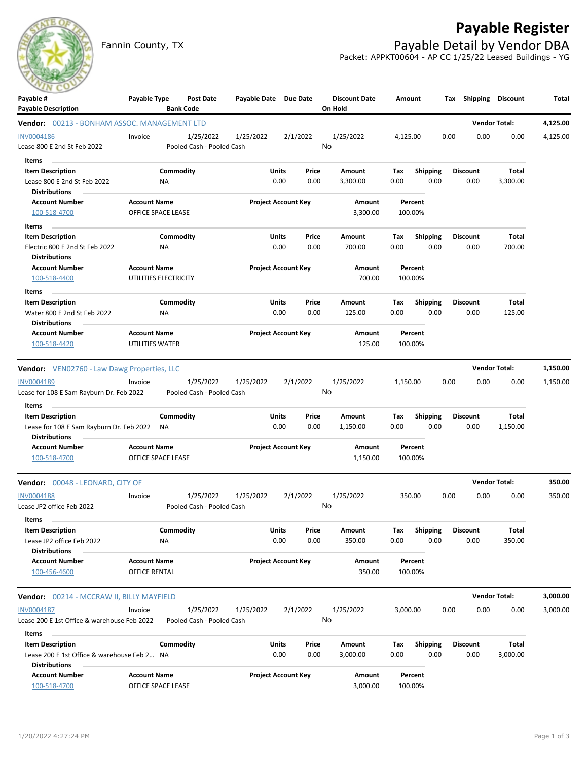## **Payable Register**

Fannin County, TX **Payable Detail by Vendor DBA** Packet: APPKT00604 - AP CC 1/25/22 Leased Buildings - YG



| Payable #                                                           | Payable Type          | Post Date                              | Payable Date Due Date |                            |       | <b>Discount Date</b> | Amount   |                 |      | Tax Shipping Discount |                      | Total    |
|---------------------------------------------------------------------|-----------------------|----------------------------------------|-----------------------|----------------------------|-------|----------------------|----------|-----------------|------|-----------------------|----------------------|----------|
| <b>Payable Description</b>                                          |                       | <b>Bank Code</b>                       |                       |                            |       | On Hold              |          |                 |      |                       |                      |          |
| Vendor: 00213 - BONHAM ASSOC. MANAGEMENT LTD                        |                       |                                        |                       |                            |       |                      |          |                 |      |                       | <b>Vendor Total:</b> | 4,125.00 |
| <b>INV0004186</b>                                                   | Invoice               | 1/25/2022                              | 1/25/2022             | 2/1/2022                   |       | 1/25/2022            | 4,125.00 |                 | 0.00 | 0.00                  | 0.00                 | 4,125.00 |
| Lease 800 E 2nd St Feb 2022                                         |                       | Pooled Cash - Pooled Cash              |                       |                            | No    |                      |          |                 |      |                       |                      |          |
| Items                                                               |                       |                                        |                       |                            |       |                      |          |                 |      |                       |                      |          |
| <b>Item Description</b>                                             |                       | Commodity                              |                       | Units                      | Price | Amount               | Тах      | <b>Shipping</b> |      | <b>Discount</b>       | Total                |          |
| Lease 800 E 2nd St Feb 2022                                         | ΝA                    |                                        |                       | 0.00                       | 0.00  | 3,300.00             | 0.00     | 0.00            |      | 0.00                  | 3,300.00             |          |
| <b>Distributions</b>                                                |                       |                                        |                       |                            |       |                      |          |                 |      |                       |                      |          |
| <b>Account Number</b>                                               | <b>Account Name</b>   |                                        |                       | <b>Project Account Key</b> |       | Amount               |          | Percent         |      |                       |                      |          |
| 100-518-4700                                                        | OFFICE SPACE LEASE    |                                        |                       |                            |       | 3,300.00             | 100.00%  |                 |      |                       |                      |          |
| Items                                                               |                       |                                        |                       |                            |       |                      |          |                 |      |                       |                      |          |
| <b>Item Description</b>                                             |                       | Commodity                              |                       | Units                      | Price | Amount               | Tax      | <b>Shipping</b> |      | <b>Discount</b>       | Total                |          |
| Electric 800 E 2nd St Feb 2022                                      | ΝA                    |                                        |                       | 0.00                       | 0.00  | 700.00               | 0.00     | 0.00            |      | 0.00                  | 700.00               |          |
| <b>Distributions</b>                                                |                       |                                        |                       |                            |       |                      |          |                 |      |                       |                      |          |
| <b>Account Number</b>                                               | <b>Account Name</b>   |                                        |                       | <b>Project Account Key</b> |       | Amount               |          | Percent         |      |                       |                      |          |
| 100-518-4400                                                        | UTILITIES ELECTRICITY |                                        |                       |                            |       | 700.00               | 100.00%  |                 |      |                       |                      |          |
| Items                                                               |                       |                                        |                       |                            |       |                      |          |                 |      |                       |                      |          |
| <b>Item Description</b>                                             |                       | Commodity                              |                       | Units                      | Price | Amount               | Тах      | <b>Shipping</b> |      | <b>Discount</b>       | Total                |          |
| Water 800 E 2nd St Feb 2022                                         | NA                    |                                        |                       | 0.00                       | 0.00  | 125.00               | 0.00     | 0.00            |      | 0.00                  | 125.00               |          |
| <b>Distributions</b>                                                |                       |                                        |                       |                            |       |                      |          |                 |      |                       |                      |          |
| <b>Account Number</b>                                               | <b>Account Name</b>   |                                        |                       | <b>Project Account Key</b> |       | Amount               |          | Percent         |      |                       |                      |          |
| 100-518-4420                                                        | UTILITIES WATER       |                                        |                       |                            |       | 125.00               | 100.00%  |                 |      |                       |                      |          |
|                                                                     |                       |                                        |                       |                            |       |                      |          |                 |      |                       |                      |          |
| <b>Vendor:</b> VEN02760 - Law Dawg Properties, LLC                  |                       |                                        |                       |                            |       |                      |          |                 |      |                       | <b>Vendor Total:</b> | 1,150.00 |
| INV0004189                                                          | Invoice               | 1/25/2022                              | 1/25/2022             | 2/1/2022                   |       | 1/25/2022            | 1,150.00 |                 | 0.00 | 0.00                  | 0.00                 | 1,150.00 |
| Lease for 108 E Sam Rayburn Dr. Feb 2022                            |                       | Pooled Cash - Pooled Cash              |                       |                            | No    |                      |          |                 |      |                       |                      |          |
| Items<br>$\sim$                                                     |                       |                                        |                       |                            |       |                      |          |                 |      |                       |                      |          |
| <b>Item Description</b>                                             |                       | Commodity                              |                       | Units                      | Price | Amount               | Тах      | Shipping        |      | <b>Discount</b>       | Total                |          |
| Lease for 108 E Sam Rayburn Dr. Feb 2022                            | ΝA                    |                                        |                       | 0.00                       | 0.00  | 1,150.00             | 0.00     | 0.00            |      | 0.00                  | 1,150.00             |          |
| <b>Distributions</b>                                                |                       |                                        |                       |                            |       |                      |          |                 |      |                       |                      |          |
| <b>Account Number</b>                                               | <b>Account Name</b>   |                                        |                       | <b>Project Account Key</b> |       | Amount               |          | Percent         |      |                       |                      |          |
| 100-518-4700                                                        | OFFICE SPACE LEASE    |                                        |                       |                            |       | 1,150.00             | 100.00%  |                 |      |                       |                      |          |
| Vendor: 00048 - LEONARD, CITY OF                                    |                       |                                        |                       |                            |       |                      |          |                 |      |                       | <b>Vendor Total:</b> | 350.00   |
| <b>INV0004188</b>                                                   | Invoice               | 1/25/2022                              | 1/25/2022             | 2/1/2022                   |       | 1/25/2022            | 350.00   |                 | 0.00 | 0.00                  | 0.00                 | 350.00   |
| Lease JP2 office Feb 2022                                           |                       | Pooled Cash - Pooled Cash              |                       |                            |       | No                   |          |                 |      |                       |                      |          |
| Items                                                               |                       |                                        |                       |                            |       |                      |          |                 |      |                       |                      |          |
| <b>Item Description</b>                                             |                       | Commodity                              |                       | Units                      | Price | Amount               | Tax      | Shipping        |      | <b>Discount</b>       | Total                |          |
| Lease JP2 office Feb 2022                                           | NA                    |                                        |                       | 0.00                       | 0.00  | 350.00               | 0.00     | 0.00            |      | 0.00                  | 350.00               |          |
| <b>Distributions</b>                                                |                       |                                        |                       |                            |       |                      |          |                 |      |                       |                      |          |
| <b>Account Number</b>                                               | <b>Account Name</b>   |                                        |                       | <b>Project Account Key</b> |       | Amount               |          | Percent         |      |                       |                      |          |
| 100-456-4600                                                        | OFFICE RENTAL         |                                        |                       |                            |       | 350.00               | 100.00%  |                 |      |                       |                      |          |
|                                                                     |                       |                                        |                       |                            |       |                      |          |                 |      |                       | <b>Vendor Total:</b> | 3,000.00 |
| <b>Vendor:</b> 00214 - MCCRAW II, BILLY MAYFIELD                    |                       |                                        |                       |                            |       |                      |          |                 |      |                       |                      |          |
| INV0004187<br>Lease 200 E 1st Office & warehouse Feb 2022           | Invoice               | 1/25/2022<br>Pooled Cash - Pooled Cash | 1/25/2022             | 2/1/2022                   |       | 1/25/2022<br>No      | 3,000.00 |                 | 0.00 | 0.00                  | 0.00                 | 3,000.00 |
|                                                                     |                       |                                        |                       |                            |       |                      |          |                 |      |                       |                      |          |
| Items                                                               |                       |                                        |                       |                            |       |                      |          |                 |      |                       |                      |          |
| <b>Item Description</b>                                             |                       | Commodity                              |                       | Units                      | Price | Amount               | Tax      | <b>Shipping</b> |      | <b>Discount</b>       | Total                |          |
| Lease 200 E 1st Office & warehouse Feb 2 NA<br><b>Distributions</b> |                       |                                        |                       | 0.00                       | 0.00  | 3,000.00             | 0.00     | 0.00            |      | 0.00                  | 3,000.00             |          |
| <b>Account Number</b>                                               | <b>Account Name</b>   |                                        |                       | <b>Project Account Key</b> |       | Amount               |          | Percent         |      |                       |                      |          |
| 100-518-4700                                                        | OFFICE SPACE LEASE    |                                        |                       |                            |       | 3,000.00             | 100.00%  |                 |      |                       |                      |          |
|                                                                     |                       |                                        |                       |                            |       |                      |          |                 |      |                       |                      |          |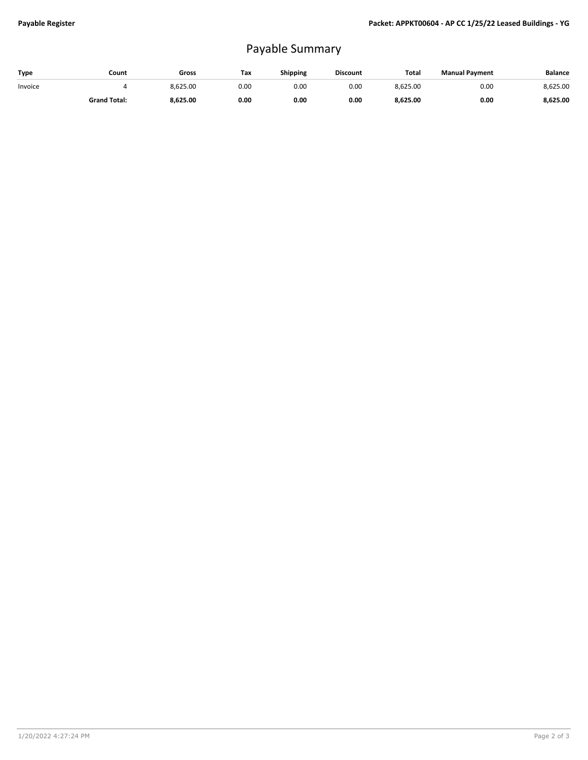## Payable Summary

| Type    | Count               | Gross    | Tax  | <b>Shipping</b> | <b>Discount</b> | <b>Total</b> | <b>Manual Payment</b> | <b>Balance</b> |
|---------|---------------------|----------|------|-----------------|-----------------|--------------|-----------------------|----------------|
| Invoice |                     | 8.625.00 | 0.00 | 0.OC            | 0.00            | 8,625.00     | 0.00                  | 8,625.00       |
|         | <b>Grand Total:</b> | 8,625.00 | 0.00 | 0.00            | 0.00            | 8,625.00     | 0.00                  | 8,625.00       |